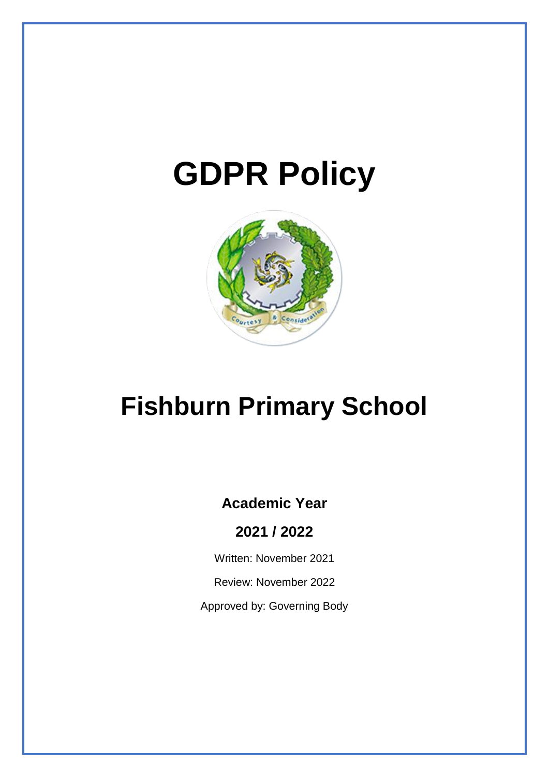# **GDPR Policy**



## **Fishburn Primary School**

## **Academic Year**

**2021 / 2022**

Written: November 2021

Review: November 2022

Approved by: Governing Body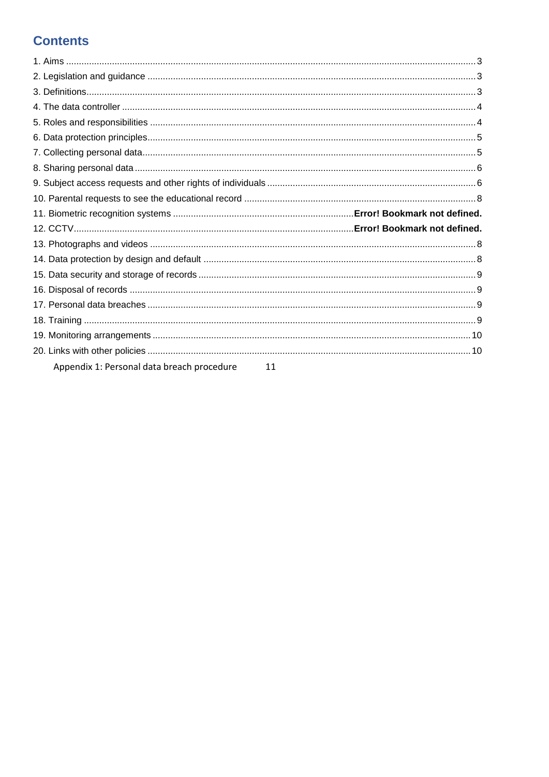## **Contents**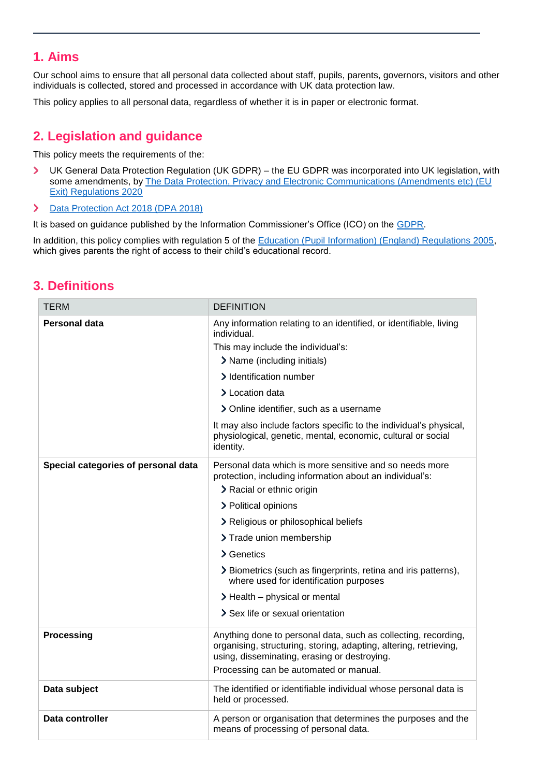## <span id="page-2-0"></span>**1. Aims**

Our school aims to ensure that all personal data collected about staff, pupils, parents, governors, visitors and other individuals is collected, stored and processed in accordance with UK data protection law.

This policy applies to all personal data, regardless of whether it is in paper or electronic format.

## <span id="page-2-1"></span>**2. Legislation and guidance**

This policy meets the requirements of the:

- UK General Data Protection Regulation (UK GDPR) the EU GDPR was incorporated into UK legislation, with  $\mathbf{\Sigma}$ some amendments, by The Data Protection, Privacy and Electronic Communications (Amendments etc) (EU [Exit\) Regulations 2020](https://www.legislation.gov.uk/uksi/2020/1586/made)
- $\mathbf{\lambda}$ [Data Protection Act 2018 \(DPA 2018\)](http://www.legislation.gov.uk/ukpga/2018/12/contents/enacted)

It is based on guidance published by the Information Commissioner's Office (ICO) on the [GDPR.](https://ico.org.uk/for-organisations/guide-to-the-general-data-protection-regulation-gdpr/)

In addition, this policy complies with regulation 5 of the [Education \(Pupil Information\) \(England\) Regulations 2005,](http://www.legislation.gov.uk/uksi/2005/1437/regulation/5/made) which gives parents the right of access to their child's educational record.

## TERM DEFINITION **Personal data** Any information relating to an identified, or identifiable, living individual. This may include the individual's: > Name (including initials) > Identification number > Location data > Online identifier, such as a username It may also include factors specific to the individual's physical, physiological, genetic, mental, economic, cultural or social identity. **Special categories of personal data** Personal data which is more sensitive and so needs more protection, including information about an individual's: > Racial or ethnic origin > Political opinions > Religious or philosophical beliefs > Trade union membership > Genetics > Biometrics (such as fingerprints, retina and iris patterns), where used for identification purposes  $\blacktriangleright$  Health – physical or mental > Sex life or sexual orientation **Processing Transfer Anything done to personal data, such as collecting, recording,** organising, structuring, storing, adapting, altering, retrieving, using, disseminating, erasing or destroying. Processing can be automated or manual. **Data subject** The identified or identifiable individual whose personal data is held or processed. **Data controller A** person or organisation that determines the purposes and the means of processing of personal data.

## <span id="page-2-2"></span>**3. Definitions**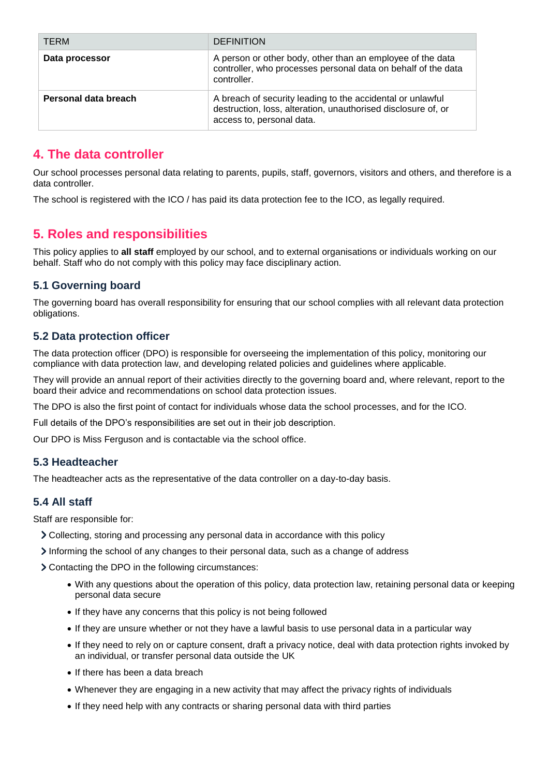| <b>TERM</b>          | <b>DEFINITION</b>                                                                                                                                        |
|----------------------|----------------------------------------------------------------------------------------------------------------------------------------------------------|
| Data processor       | A person or other body, other than an employee of the data<br>controller, who processes personal data on behalf of the data<br>controller.               |
| Personal data breach | A breach of security leading to the accidental or unlawful<br>destruction, loss, alteration, unauthorised disclosure of, or<br>access to, personal data. |

## <span id="page-3-0"></span>**4. The data controller**

Our school processes personal data relating to parents, pupils, staff, governors, visitors and others, and therefore is a data controller.

The school is registered with the ICO / has paid its data protection fee to the ICO, as legally required.

## <span id="page-3-1"></span>**5. Roles and responsibilities**

This policy applies to **all staff** employed by our school, and to external organisations or individuals working on our behalf. Staff who do not comply with this policy may face disciplinary action.

#### **5.1 Governing board**

The governing board has overall responsibility for ensuring that our school complies with all relevant data protection obligations.

#### **5.2 Data protection officer**

The data protection officer (DPO) is responsible for overseeing the implementation of this policy, monitoring our compliance with data protection law, and developing related policies and guidelines where applicable.

They will provide an annual report of their activities directly to the governing board and, where relevant, report to the board their advice and recommendations on school data protection issues.

The DPO is also the first point of contact for individuals whose data the school processes, and for the ICO.

Full details of the DPO's responsibilities are set out in their job description.

Our DPO is Miss Ferguson and is contactable via the school office.

#### **5.3 Headteacher**

The headteacher acts as the representative of the data controller on a day-to-day basis.

#### **5.4 All staff**

Staff are responsible for:

- Collecting, storing and processing any personal data in accordance with this policy
- Informing the school of any changes to their personal data, such as a change of address

Contacting the DPO in the following circumstances:

- With any questions about the operation of this policy, data protection law, retaining personal data or keeping personal data secure
- If they have any concerns that this policy is not being followed
- If they are unsure whether or not they have a lawful basis to use personal data in a particular way
- If they need to rely on or capture consent, draft a privacy notice, deal with data protection rights invoked by an individual, or transfer personal data outside the UK
- If there has been a data breach
- Whenever they are engaging in a new activity that may affect the privacy rights of individuals
- If they need help with any contracts or sharing personal data with third parties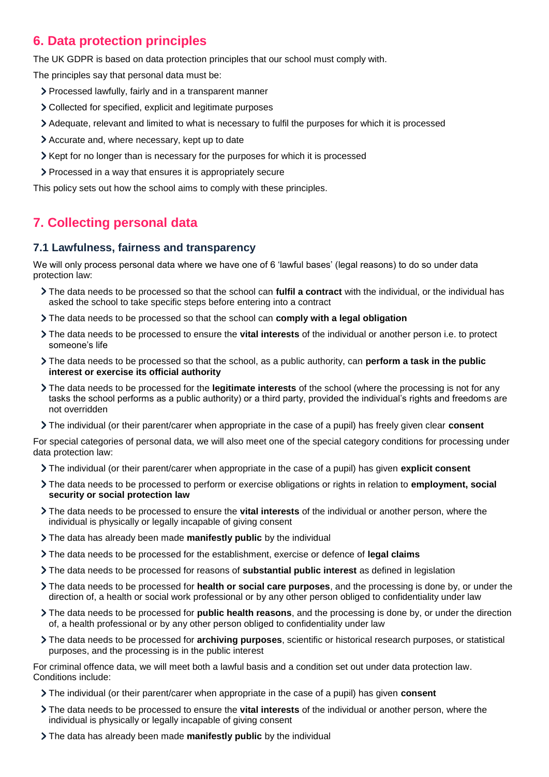## <span id="page-4-0"></span>**6. Data protection principles**

The UK GDPR is based on data protection principles that our school must comply with.

The principles say that personal data must be:

- Processed lawfully, fairly and in a transparent manner
- Collected for specified, explicit and legitimate purposes
- Adequate, relevant and limited to what is necessary to fulfil the purposes for which it is processed
- Accurate and, where necessary, kept up to date
- Xept for no longer than is necessary for the purposes for which it is processed
- Processed in a way that ensures it is appropriately secure

This policy sets out how the school aims to comply with these principles.

## <span id="page-4-1"></span>**7. Collecting personal data**

#### **7.1 Lawfulness, fairness and transparency**

We will only process personal data where we have one of 6 'lawful bases' (legal reasons) to do so under data protection law:

- The data needs to be processed so that the school can **fulfil a contract** with the individual, or the individual has asked the school to take specific steps before entering into a contract
- The data needs to be processed so that the school can **comply with a legal obligation**
- The data needs to be processed to ensure the **vital interests** of the individual or another person i.e. to protect someone's life
- The data needs to be processed so that the school, as a public authority, can **perform a task in the public interest or exercise its official authority**
- The data needs to be processed for the **legitimate interests** of the school (where the processing is not for any tasks the school performs as a public authority) or a third party, provided the individual's rights and freedoms are not overridden
- The individual (or their parent/carer when appropriate in the case of a pupil) has freely given clear **consent**

For special categories of personal data, we will also meet one of the special category conditions for processing under data protection law:

- The individual (or their parent/carer when appropriate in the case of a pupil) has given **explicit consent**
- The data needs to be processed to perform or exercise obligations or rights in relation to **employment, social security or social protection law**
- The data needs to be processed to ensure the **vital interests** of the individual or another person, where the individual is physically or legally incapable of giving consent
- The data has already been made **manifestly public** by the individual
- The data needs to be processed for the establishment, exercise or defence of **legal claims**
- The data needs to be processed for reasons of **substantial public interest** as defined in legislation
- The data needs to be processed for **health or social care purposes**, and the processing is done by, or under the direction of, a health or social work professional or by any other person obliged to confidentiality under law
- The data needs to be processed for **public health reasons**, and the processing is done by, or under the direction of, a health professional or by any other person obliged to confidentiality under law
- The data needs to be processed for **archiving purposes**, scientific or historical research purposes, or statistical purposes, and the processing is in the public interest

For criminal offence data, we will meet both a lawful basis and a condition set out under data protection law. Conditions include:

- The individual (or their parent/carer when appropriate in the case of a pupil) has given **consent**
- The data needs to be processed to ensure the **vital interests** of the individual or another person, where the individual is physically or legally incapable of giving consent
- The data has already been made **manifestly public** by the individual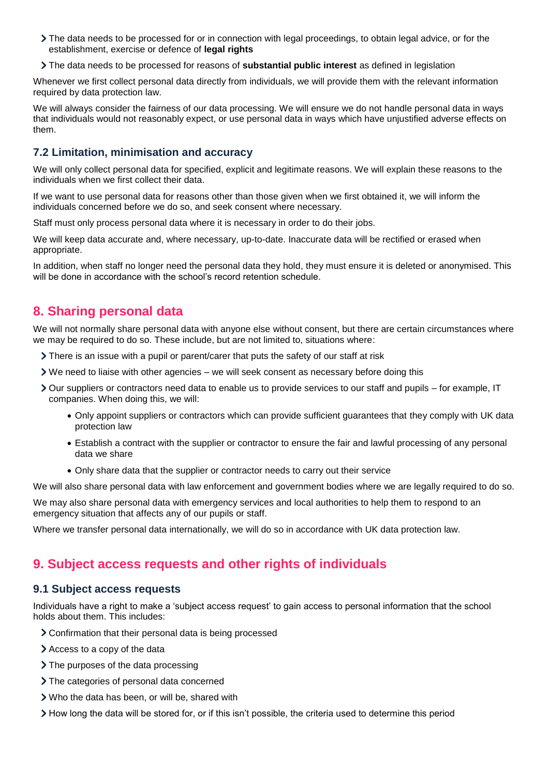- The data needs to be processed for or in connection with legal proceedings, to obtain legal advice, or for the establishment, exercise or defence of **legal rights**
- The data needs to be processed for reasons of **substantial public interest** as defined in legislation

Whenever we first collect personal data directly from individuals, we will provide them with the relevant information required by data protection law.

We will always consider the fairness of our data processing. We will ensure we do not handle personal data in ways that individuals would not reasonably expect, or use personal data in ways which have unjustified adverse effects on them.

#### **7.2 Limitation, minimisation and accuracy**

We will only collect personal data for specified, explicit and legitimate reasons. We will explain these reasons to the individuals when we first collect their data.

If we want to use personal data for reasons other than those given when we first obtained it, we will inform the individuals concerned before we do so, and seek consent where necessary.

Staff must only process personal data where it is necessary in order to do their jobs.

We will keep data accurate and, where necessary, up-to-date. Inaccurate data will be rectified or erased when appropriate.

In addition, when staff no longer need the personal data they hold, they must ensure it is deleted or anonymised. This will be done in accordance with the school's record retention schedule.

### <span id="page-5-0"></span>**8. Sharing personal data**

We will not normally share personal data with anyone else without consent, but there are certain circumstances where we may be required to do so. These include, but are not limited to, situations where:

- There is an issue with a pupil or parent/carer that puts the safety of our staff at risk
- We need to liaise with other agencies we will seek consent as necessary before doing this
- Our suppliers or contractors need data to enable us to provide services to our staff and pupils for example, IT companies. When doing this, we will:
	- Only appoint suppliers or contractors which can provide sufficient guarantees that they comply with UK data protection law
	- Establish a contract with the supplier or contractor to ensure the fair and lawful processing of any personal data we share
	- Only share data that the supplier or contractor needs to carry out their service

We will also share personal data with law enforcement and government bodies where we are legally required to do so.

We may also share personal data with emergency services and local authorities to help them to respond to an emergency situation that affects any of our pupils or staff.

Where we transfer personal data internationally, we will do so in accordance with UK data protection law.

### <span id="page-5-1"></span>**9. Subject access requests and other rights of individuals**

#### **9.1 Subject access requests**

Individuals have a right to make a 'subject access request' to gain access to personal information that the school holds about them. This includes:

- Confirmation that their personal data is being processed
- Access to a copy of the data
- > The purposes of the data processing
- > The categories of personal data concerned
- Who the data has been, or will be, shared with
- How long the data will be stored for, or if this isn't possible, the criteria used to determine this period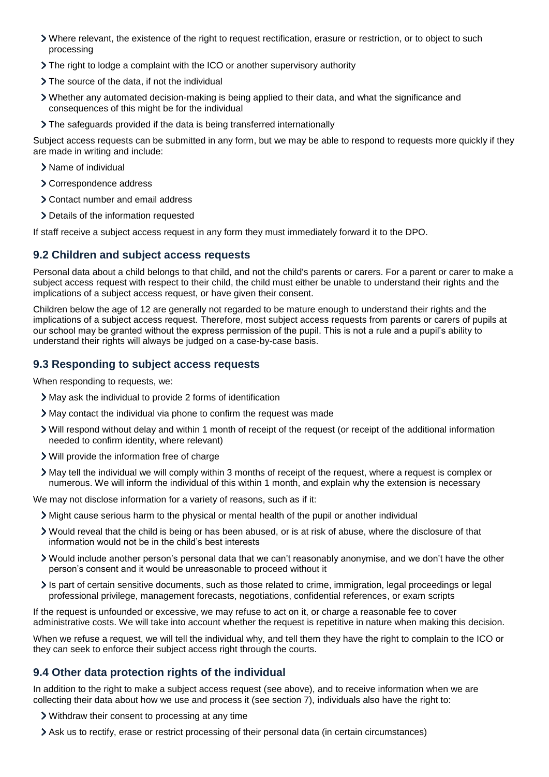- Where relevant, the existence of the right to request rectification, erasure or restriction, or to object to such processing
- The right to lodge a complaint with the ICO or another supervisory authority
- > The source of the data, if not the individual
- Whether any automated decision-making is being applied to their data, and what the significance and consequences of this might be for the individual
- The safeguards provided if the data is being transferred internationally

Subject access requests can be submitted in any form, but we may be able to respond to requests more quickly if they are made in writing and include:

- > Name of individual
- > Correspondence address
- Contact number and email address
- > Details of the information requested

If staff receive a subject access request in any form they must immediately forward it to the DPO.

#### **9.2 Children and subject access requests**

Personal data about a child belongs to that child, and not the child's parents or carers. For a parent or carer to make a subject access request with respect to their child, the child must either be unable to understand their rights and the implications of a subject access request, or have given their consent.

Children below the age of 12 are generally not regarded to be mature enough to understand their rights and the implications of a subject access request. Therefore, most subject access requests from parents or carers of pupils at our school may be granted without the express permission of the pupil. This is not a rule and a pupil's ability to understand their rights will always be judged on a case-by-case basis.

#### **9.3 Responding to subject access requests**

When responding to requests, we:

- May ask the individual to provide 2 forms of identification
- May contact the individual via phone to confirm the request was made
- Will respond without delay and within 1 month of receipt of the request (or receipt of the additional information needed to confirm identity, where relevant)
- Will provide the information free of charge
- May tell the individual we will comply within 3 months of receipt of the request, where a request is complex or numerous. We will inform the individual of this within 1 month, and explain why the extension is necessary

We may not disclose information for a variety of reasons, such as if it:

- Might cause serious harm to the physical or mental health of the pupil or another individual
- Would reveal that the child is being or has been abused, or is at risk of abuse, where the disclosure of that information would not be in the child's best interests
- Would include another person's personal data that we can't reasonably anonymise, and we don't have the other person's consent and it would be unreasonable to proceed without it
- Is part of certain sensitive documents, such as those related to crime, immigration, legal proceedings or legal professional privilege, management forecasts, negotiations, confidential references, or exam scripts

If the request is unfounded or excessive, we may refuse to act on it, or charge a reasonable fee to cover administrative costs. We will take into account whether the request is repetitive in nature when making this decision.

When we refuse a request, we will tell the individual why, and tell them they have the right to complain to the ICO or they can seek to enforce their subject access right through the courts.

#### **9.4 Other data protection rights of the individual**

In addition to the right to make a subject access request (see above), and to receive information when we are collecting their data about how we use and process it (see section 7), individuals also have the right to:

- Withdraw their consent to processing at any time
- Ask us to rectify, erase or restrict processing of their personal data (in certain circumstances)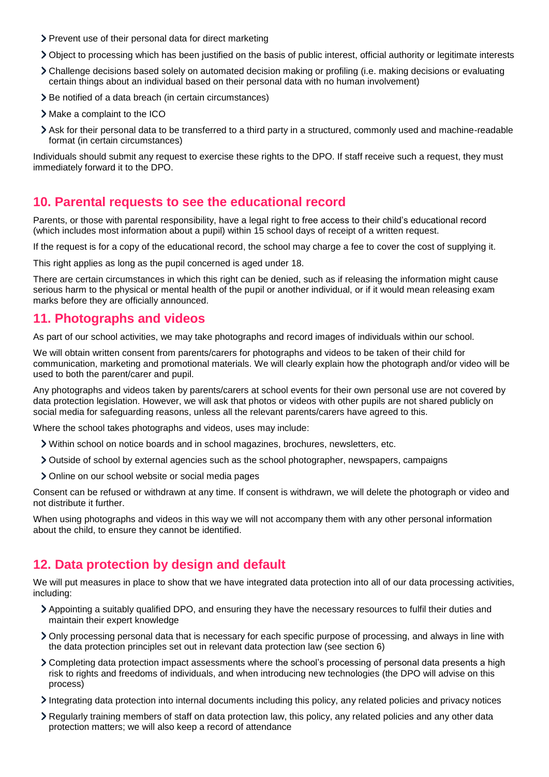- > Prevent use of their personal data for direct marketing
- Object to processing which has been justified on the basis of public interest, official authority or legitimate interests
- Challenge decisions based solely on automated decision making or profiling (i.e. making decisions or evaluating certain things about an individual based on their personal data with no human involvement)
- > Be notified of a data breach (in certain circumstances)
- > Make a complaint to the ICO
- Ask for their personal data to be transferred to a third party in a structured, commonly used and machine-readable format (in certain circumstances)

Individuals should submit any request to exercise these rights to the DPO. If staff receive such a request, they must immediately forward it to the DPO.

#### <span id="page-7-0"></span>**10. Parental requests to see the educational record**

Parents, or those with parental responsibility, have a legal right to free access to their child's educational record (which includes most information about a pupil) within 15 school days of receipt of a written request.

If the request is for a copy of the educational record, the school may charge a fee to cover the cost of supplying it.

This right applies as long as the pupil concerned is aged under 18.

There are certain circumstances in which this right can be denied, such as if releasing the information might cause serious harm to the physical or mental health of the pupil or another individual, or if it would mean releasing exam marks before they are officially announced.

#### <span id="page-7-1"></span>**11. Photographs and videos**

As part of our school activities, we may take photographs and record images of individuals within our school.

We will obtain written consent from parents/carers for photographs and videos to be taken of their child for communication, marketing and promotional materials. We will clearly explain how the photograph and/or video will be used to both the parent/carer and pupil.

Any photographs and videos taken by parents/carers at school events for their own personal use are not covered by data protection legislation. However, we will ask that photos or videos with other pupils are not shared publicly on social media for safeguarding reasons, unless all the relevant parents/carers have agreed to this.

Where the school takes photographs and videos, uses may include:

- Within school on notice boards and in school magazines, brochures, newsletters, etc.
- Outside of school by external agencies such as the school photographer, newspapers, campaigns
- > Online on our school website or social media pages

Consent can be refused or withdrawn at any time. If consent is withdrawn, we will delete the photograph or video and not distribute it further.

When using photographs and videos in this way we will not accompany them with any other personal information about the child, to ensure they cannot be identified.

## <span id="page-7-2"></span>**12. Data protection by design and default**

We will put measures in place to show that we have integrated data protection into all of our data processing activities, including:

- Appointing a suitably qualified DPO, and ensuring they have the necessary resources to fulfil their duties and maintain their expert knowledge
- Only processing personal data that is necessary for each specific purpose of processing, and always in line with the data protection principles set out in relevant data protection law (see section 6)
- Completing data protection impact assessments where the school's processing of personal data presents a high risk to rights and freedoms of individuals, and when introducing new technologies (the DPO will advise on this process)
- Integrating data protection into internal documents including this policy, any related policies and privacy notices
- Regularly training members of staff on data protection law, this policy, any related policies and any other data protection matters; we will also keep a record of attendance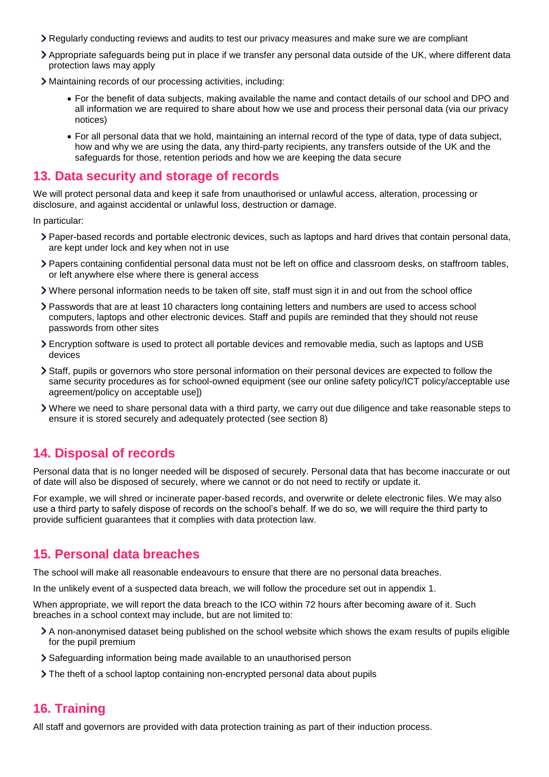- Regularly conducting reviews and audits to test our privacy measures and make sure we are compliant
- Appropriate safeguards being put in place if we transfer any personal data outside of the UK, where different data protection laws may apply
- Maintaining records of our processing activities, including:
	- For the benefit of data subjects, making available the name and contact details of our school and DPO and all information we are required to share about how we use and process their personal data (via our privacy notices)
	- For all personal data that we hold, maintaining an internal record of the type of data, type of data subject, how and why we are using the data, any third-party recipients, any transfers outside of the UK and the safeguards for those, retention periods and how we are keeping the data secure

#### <span id="page-8-0"></span>**13. Data security and storage of records**

We will protect personal data and keep it safe from unauthorised or unlawful access, alteration, processing or disclosure, and against accidental or unlawful loss, destruction or damage.

In particular:

- Paper-based records and portable electronic devices, such as laptops and hard drives that contain personal data, are kept under lock and key when not in use
- Papers containing confidential personal data must not be left on office and classroom desks, on staffroom tables, or left anywhere else where there is general access
- Where personal information needs to be taken off site, staff must sign it in and out from the school office
- Passwords that are at least 10 characters long containing letters and numbers are used to access school computers, laptops and other electronic devices. Staff and pupils are reminded that they should not reuse passwords from other sites
- Encryption software is used to protect all portable devices and removable media, such as laptops and USB devices
- Staff, pupils or governors who store personal information on their personal devices are expected to follow the same security procedures as for school-owned equipment (see our online safety policy/ICT policy/acceptable use agreement/policy on acceptable use])
- Where we need to share personal data with a third party, we carry out due diligence and take reasonable steps to ensure it is stored securely and adequately protected (see section 8)

## <span id="page-8-1"></span>**14. Disposal of records**

Personal data that is no longer needed will be disposed of securely. Personal data that has become inaccurate or out of date will also be disposed of securely, where we cannot or do not need to rectify or update it.

For example, we will shred or incinerate paper-based records, and overwrite or delete electronic files. We may also use a third party to safely dispose of records on the school's behalf. If we do so, we will require the third party to provide sufficient guarantees that it complies with data protection law.

### <span id="page-8-2"></span>**15. Personal data breaches**

The school will make all reasonable endeavours to ensure that there are no personal data breaches.

In the unlikely event of a suspected data breach, we will follow the procedure set out in appendix 1.

When appropriate, we will report the data breach to the ICO within 72 hours after becoming aware of it. Such breaches in a school context may include, but are not limited to:

- A non-anonymised dataset being published on the school website which shows the exam results of pupils eligible for the pupil premium
- Safeguarding information being made available to an unauthorised person
- The theft of a school laptop containing non-encrypted personal data about pupils

### <span id="page-8-3"></span>**16. Training**

All staff and governors are provided with data protection training as part of their induction process.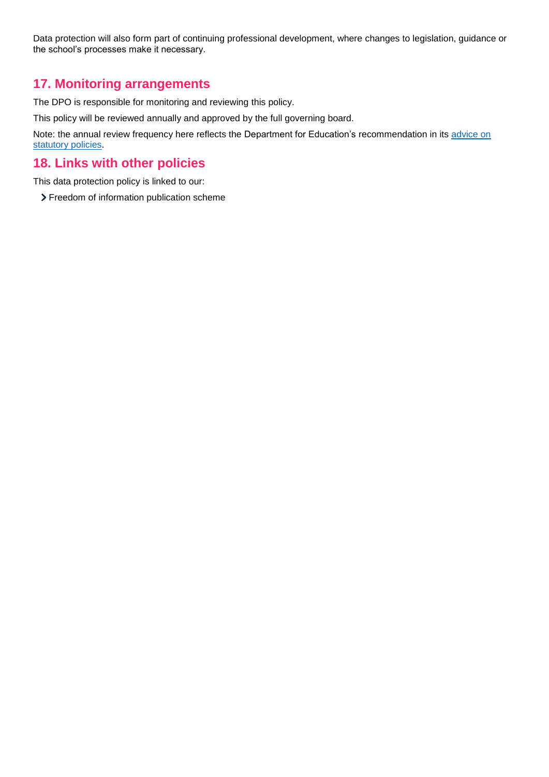Data protection will also form part of continuing professional development, where changes to legislation, guidance or the school's processes make it necessary.

## <span id="page-9-0"></span>**17. Monitoring arrangements**

The DPO is responsible for monitoring and reviewing this policy.

This policy will be reviewed annually and approved by the full governing board.

Note: the annual review frequency here reflects the Department for Education's recommendation in its advice on [statutory policies.](https://www.gov.uk/government/publications/statutory-policies-for-schools)

#### <span id="page-9-1"></span>**18. Links with other policies**

This data protection policy is linked to our:

> Freedom of information publication scheme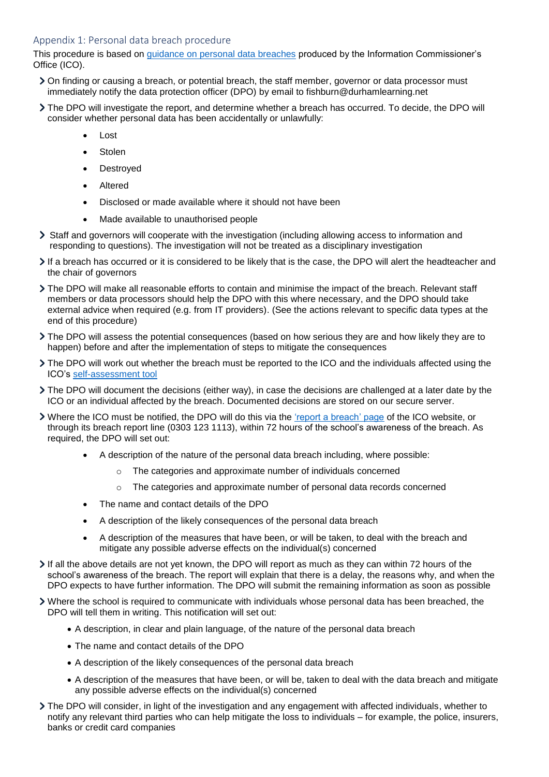#### <span id="page-10-0"></span>Appendix 1: Personal data breach procedure

This procedure is based on [guidance on personal data breaches](https://ico.org.uk/for-organisations/guide-to-the-general-data-protection-regulation-gdpr/personal-data-breaches/) produced by the Information Commissioner's Office (ICO).

- On finding or causing a breach, or potential breach, the staff member, governor or data processor must immediately notify the data protection officer (DPO) by email to fishburn@durhamlearning.net
- The DPO will investigate the report, and determine whether a breach has occurred. To decide, the DPO will consider whether personal data has been accidentally or unlawfully:
	- Lost
	- Stolen
	- Destroyed
	- Altered
	- Disclosed or made available where it should not have been
	- Made available to unauthorised people
- Staff and governors will cooperate with the investigation (including allowing access to information and responding to questions). The investigation will not be treated as a disciplinary investigation
- If a breach has occurred or it is considered to be likely that is the case, the DPO will alert the headteacher and the chair of governors
- > The DPO will make all reasonable efforts to contain and minimise the impact of the breach. Relevant staff members or data processors should help the DPO with this where necessary, and the DPO should take external advice when required (e.g. from IT providers). (See the actions relevant to specific data types at the end of this procedure)
- The DPO will assess the potential consequences (based on how serious they are and how likely they are to happen) before and after the implementation of steps to mitigate the consequences
- $\triangleright$  The DPO will work out whether the breach must be reported to the ICO and the individuals affected using the ICO's [self-assessment tool](https://ico.org.uk/for-organisations/report-a-breach/personal-data-breach-assessment/)
- The DPO will document the decisions (either way), in case the decisions are challenged at a later date by the ICO or an individual affected by the breach. Documented decisions are stored on our secure server.
- Where the ICO must be notified, the DPO will do this via the ['report a breach' page](https://ico.org.uk/for-organisations/report-a-breach/) of the ICO website, or through its breach report line (0303 123 1113), within 72 hours of the school's awareness of the breach. As required, the DPO will set out:
	- A description of the nature of the personal data breach including, where possible:
		- The categories and approximate number of individuals concerned
		- $\circ$  The categories and approximate number of personal data records concerned
	- The name and contact details of the DPO
	- A description of the likely consequences of the personal data breach
	- A description of the measures that have been, or will be taken, to deal with the breach and mitigate any possible adverse effects on the individual(s) concerned
- If all the above details are not vet known, the DPO will report as much as they can within 72 hours of the school's awareness of the breach. The report will explain that there is a delay, the reasons why, and when the DPO expects to have further information. The DPO will submit the remaining information as soon as possible
- Where the school is required to communicate with individuals whose personal data has been breached, the DPO will tell them in writing. This notification will set out:
	- A description, in clear and plain language, of the nature of the personal data breach
	- The name and contact details of the DPO
	- A description of the likely consequences of the personal data breach
	- A description of the measures that have been, or will be, taken to deal with the data breach and mitigate any possible adverse effects on the individual(s) concerned
- The DPO will consider, in light of the investigation and any engagement with affected individuals, whether to notify any relevant third parties who can help mitigate the loss to individuals – for example, the police, insurers, banks or credit card companies